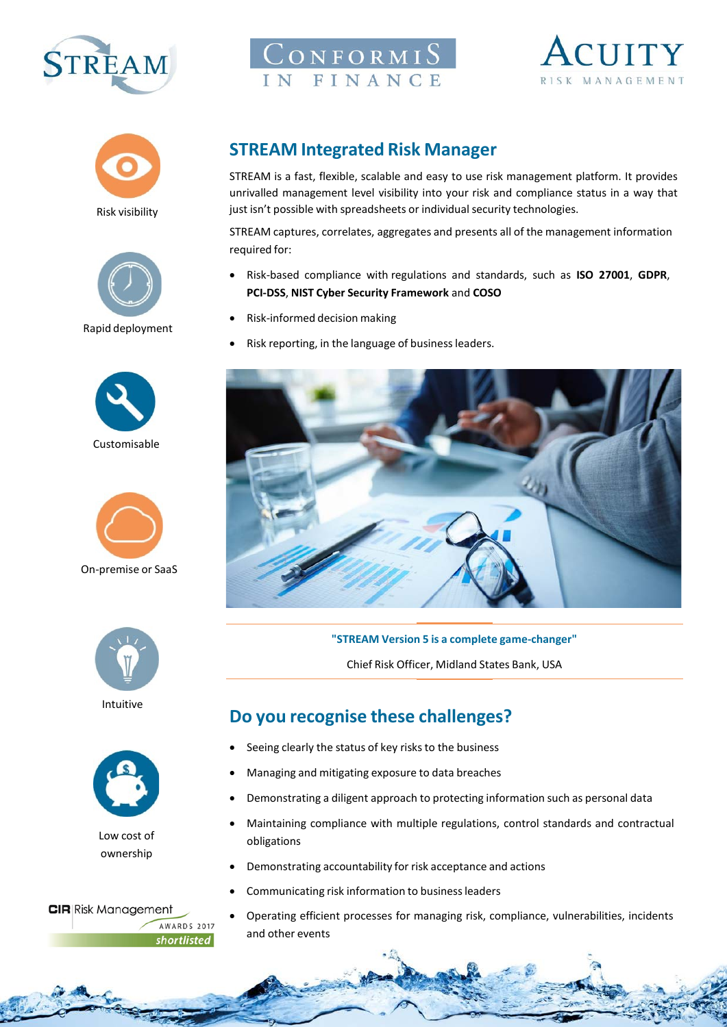

# $\mathop{\mathrm{Conv}}\nolimits$   $\mathop{\mathrm{Conv}}\nolimits$ IN FINANCE













On-premise or SaaS



Intuitive



Low cost of ownership

**CIR** Risk Management **AWARDS 2017** shortlisted

## **STREAM Integrated Risk Manager**

STREAM is a fast, flexible, scalable and easy to use risk management platform. It provides unrivalled management level visibility into your risk and compliance status in a way that just isn't possible with spreadsheets or individual security technologies.

STREAM captures, correlates, aggregates and presents all of the management information required for:

- Risk-based compliance with regulations and standards, such as **ISO 27001**, **GDPR**, **PCI-DSS**, **NIST Cyber Security Framework** and **COSO**
- Risk-informed decision making
- Risk reporting, in the language of business leaders.



**"STREAM Version 5 is a complete game-changer"**

Chief Risk Officer, Midland States Bank, USA

# **Do you recognise these challenges?**

- Seeing clearly the status of key risks to the business
- Managing and mitigating exposure to data breaches
- Demonstrating a diligent approach to protecting information such as personal data
- Maintaining compliance with multiple regulations, control standards and contractual obligations
- Demonstrating accountability for risk acceptance and actions
- Communicating risk information to business leaders
- Operating efficient processes for managing risk, compliance, vulnerabilities, incidents and other events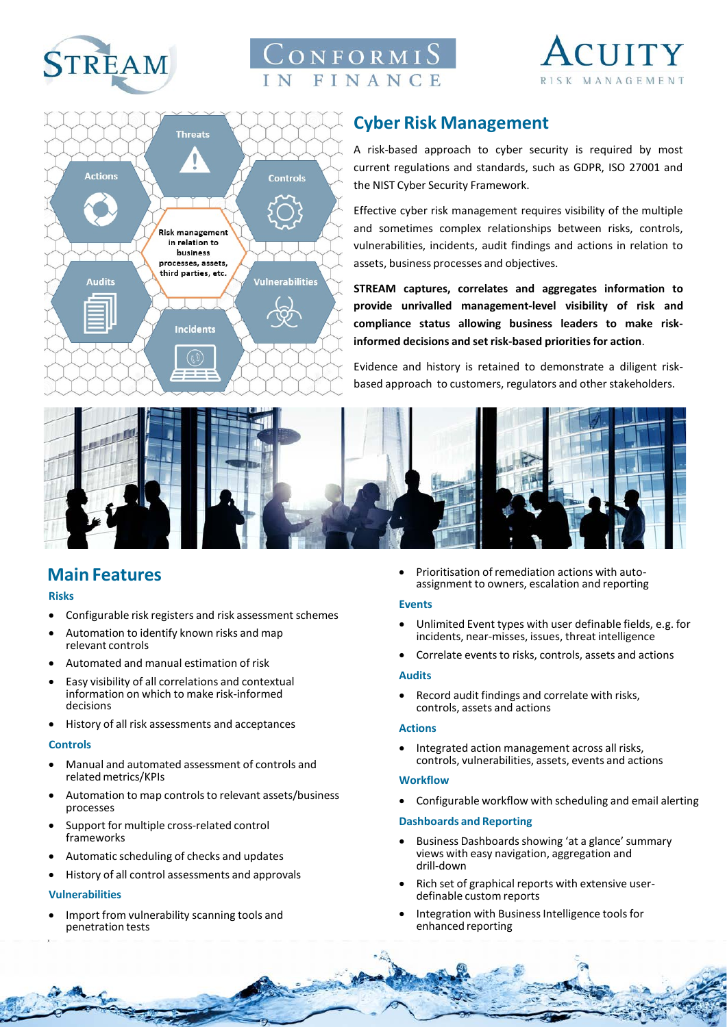

# $\mathop{\rm J\alpha}$ n formi $\mathop{\rm S\alpha}$ FINANCE





# **Cyber Risk Management**

A risk-based approach to cyber security is required by most current regulations and standards, such as GDPR, ISO 27001 and the NIST Cyber Security Framework.

Effective cyber risk management requires visibility of the multiple and sometimes complex relationships between risks, controls, vulnerabilities, incidents, audit findings and actions in relation to assets, business processes and objectives.

**STREAM captures, correlates and aggregates information to provide unrivalled management-level visibility of risk and compliance status allowing business leaders to make riskinformed decisions and set risk-based prioritiesfor action**.

Evidence and history is retained to demonstrate a diligent riskbased approach to customers, regulators and other stakeholders.



### **Main Features**

#### **Risks**

- Configurable risk registers and risk assessment schemes
- Automation to identify known risks and map relevant controls
- Automated and manual estimation of risk
- Easy visibility of all correlations and contextual information on which to make risk-informed decisions
- History of all risk assessments and acceptances

#### **Controls**

- Manual and automated assessment of controls and relatedmetrics/KPIs
- Automation to map controls to relevant assets/business processes
- Support for multiple cross-related control frameworks
- Automatic scheduling of checks and updates
- History of all control assessments and approvals

#### **Vulnerabilities**

• Import from vulnerability scanning tools and penetration tests

• Prioritisation of remediation actions with autoassignment to owners, escalation and reporting

#### **Events**

- Unlimited Event types with user definable fields, e.g. for incidents, near-misses, issues, threat intelligence
- Correlate events to risks, controls, assets and actions

#### **Audits**

• Record audit findings and correlate with risks, controls, assets and actions

#### **Actions**

• Integrated action management across all risks, controls, vulnerabilities, assets, events and actions

#### **Workflow**

**CONTRACTOR** 

• Configurable workflow with scheduling and email alerting

#### **Dashboards and Reporting**

- Business Dashboards showing 'at a glance' summary views with easy navigation, aggregation and drill-down
- Rich set of graphical reports with extensive userdefinable custom reports
- Integration with Business Intelligence tools for enhanced reporting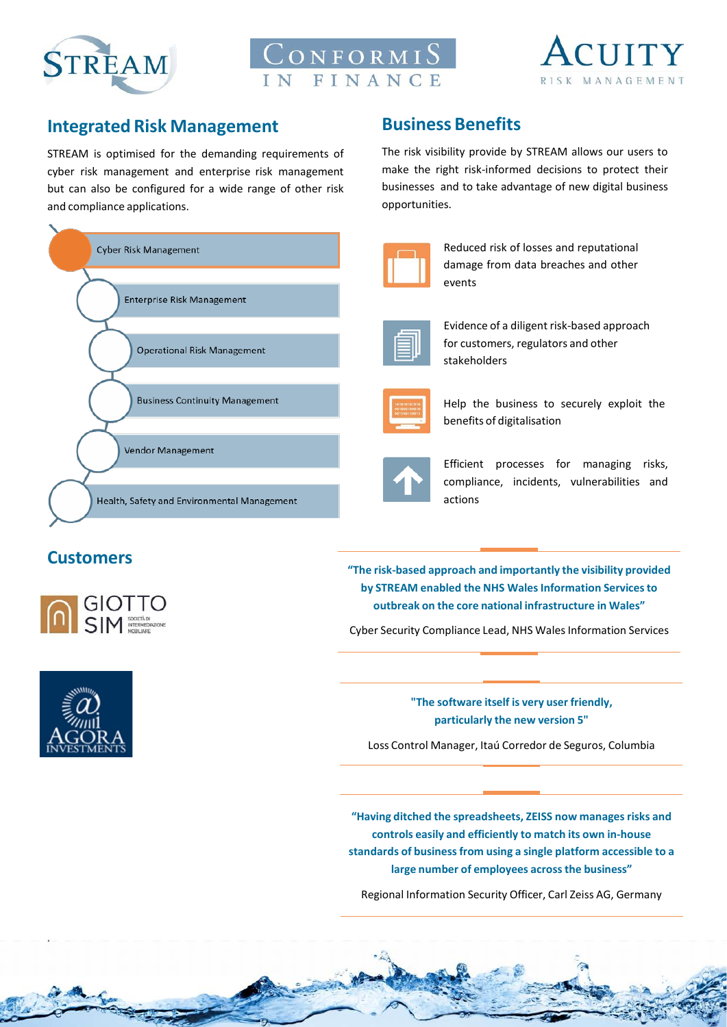





### **Integrated Risk Management**

STREAM is optimised for the demanding requirements of cyber risk management and enterprise risk management but can also be configured for a wide range of other risk and compliance applications.



## **Business Benefits**

The risk visibility provide by STREAM allows our users to make the right risk-informed decisions to protect their businesses and to take advantage of new digital business opportunities.



Reduced risk of losses and reputational damage from data breaches and other events



Evidence of a diligent risk-based approach for customers, regulators and other stakeholders



Help the business to securely exploit the benefits of digitalisation



Efficient processes for managing risks, compliance, incidents, vulnerabilities and actions

### **Customers**



**"The risk-based approach and importantly the visibility provided by STREAM enabled the NHS WalesInformation Servicesto outbreak on the core national infrastructure in Wales"**

Cyber Security Compliance Lead, NHS Wales Information Services

**"The software itself is very user friendly, particularly the new version 5"**

Loss Control Manager, Itaú Corredor de Seguros, Columbia

**"Having ditched the spreadsheets, ZEISS now managesrisks and controls easily and efficiently to match its own in-house standards of businessfrom using a single platform accessible to a large number of employees acrossthe business"**

Regional Information Security Officer, Carl Zeiss AG, Germany